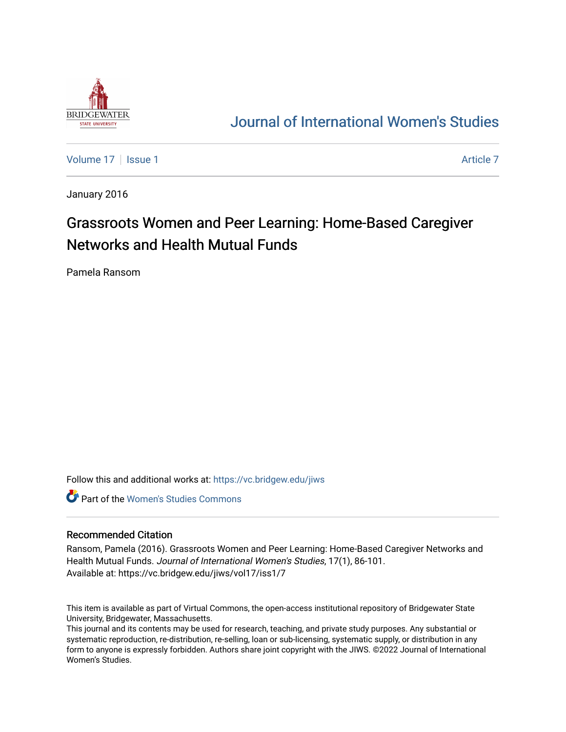

## [Journal of International Women's Studies](https://vc.bridgew.edu/jiws)

[Volume 17](https://vc.bridgew.edu/jiws/vol17) | [Issue 1](https://vc.bridgew.edu/jiws/vol17/iss1) Article 7

January 2016

# Grassroots Women and Peer Learning: Home-Based Caregiver Networks and Health Mutual Funds

Pamela Ransom

Follow this and additional works at: [https://vc.bridgew.edu/jiws](https://vc.bridgew.edu/jiws?utm_source=vc.bridgew.edu%2Fjiws%2Fvol17%2Fiss1%2F7&utm_medium=PDF&utm_campaign=PDFCoverPages)

Part of the [Women's Studies Commons](http://network.bepress.com/hgg/discipline/561?utm_source=vc.bridgew.edu%2Fjiws%2Fvol17%2Fiss1%2F7&utm_medium=PDF&utm_campaign=PDFCoverPages) 

#### Recommended Citation

Ransom, Pamela (2016). Grassroots Women and Peer Learning: Home-Based Caregiver Networks and Health Mutual Funds. Journal of International Women's Studies, 17(1), 86-101. Available at: https://vc.bridgew.edu/jiws/vol17/iss1/7

This item is available as part of Virtual Commons, the open-access institutional repository of Bridgewater State University, Bridgewater, Massachusetts.

This journal and its contents may be used for research, teaching, and private study purposes. Any substantial or systematic reproduction, re-distribution, re-selling, loan or sub-licensing, systematic supply, or distribution in any form to anyone is expressly forbidden. Authors share joint copyright with the JIWS. ©2022 Journal of International Women's Studies.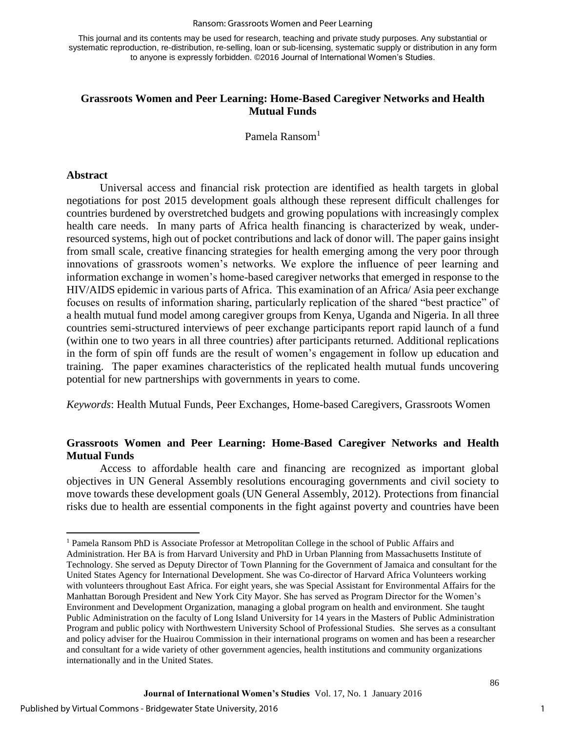This journal and its contents may be used for research, teaching and private study purposes. Any substantial or systematic reproduction, re-distribution, re-selling, loan or sub-licensing, systematic supply or distribution in any form to anyone is expressly forbidden. ©2016 Journal of International Women's Studies.

## **Grassroots Women and Peer Learning: Home-Based Caregiver Networks and Health Mutual Funds**

Pamela Ransom<sup>1</sup>

#### **Abstract**

 $\overline{a}$ 

Universal access and financial risk protection are identified as health targets in global negotiations for post 2015 development goals although these represent difficult challenges for countries burdened by overstretched budgets and growing populations with increasingly complex health care needs. In many parts of Africa health financing is characterized by weak, underresourced systems, high out of pocket contributions and lack of donor will. The paper gains insight from small scale, creative financing strategies for health emerging among the very poor through innovations of grassroots women's networks. We explore the influence of peer learning and information exchange in women's home-based caregiver networks that emerged in response to the HIV/AIDS epidemic in various parts of Africa. This examination of an Africa/ Asia peer exchange focuses on results of information sharing, particularly replication of the shared "best practice" of a health mutual fund model among caregiver groups from Kenya, Uganda and Nigeria. In all three countries semi-structured interviews of peer exchange participants report rapid launch of a fund (within one to two years in all three countries) after participants returned. Additional replications in the form of spin off funds are the result of women's engagement in follow up education and training. The paper examines characteristics of the replicated health mutual funds uncovering potential for new partnerships with governments in years to come.

*Keywords*: Health Mutual Funds, Peer Exchanges, Home-based Caregivers, Grassroots Women

## **Grassroots Women and Peer Learning: Home-Based Caregiver Networks and Health Mutual Funds**

Access to affordable health care and financing are recognized as important global objectives in UN General Assembly resolutions encouraging governments and civil society to move towards these development goals (UN General Assembly, 2012). Protections from financial risks due to health are essential components in the fight against poverty and countries have been

<sup>&</sup>lt;sup>1</sup> Pamela Ransom PhD is Associate Professor at Metropolitan College in the school of Public Affairs and Administration. Her BA is from Harvard University and PhD in Urban Planning from Massachusetts Institute of Technology. She served as Deputy Director of Town Planning for the Government of Jamaica and consultant for the United States Agency for International Development. She was Co-director of Harvard Africa Volunteers working with volunteers throughout East Africa. For eight years, she was Special Assistant for Environmental Affairs for the Manhattan Borough President and New York City Mayor. She has served as Program Director for the Women's Environment and Development Organization, managing a global program on health and environment. She taught Public Administration on the faculty of Long Island University for 14 years in the Masters of Public Administration Program and public policy with Northwestern University School of Professional Studies. She serves as a consultant and policy adviser for the Huairou Commission in their international programs on women and has been a researcher and consultant for a wide variety of other government agencies, health institutions and community organizations internationally and in the United States.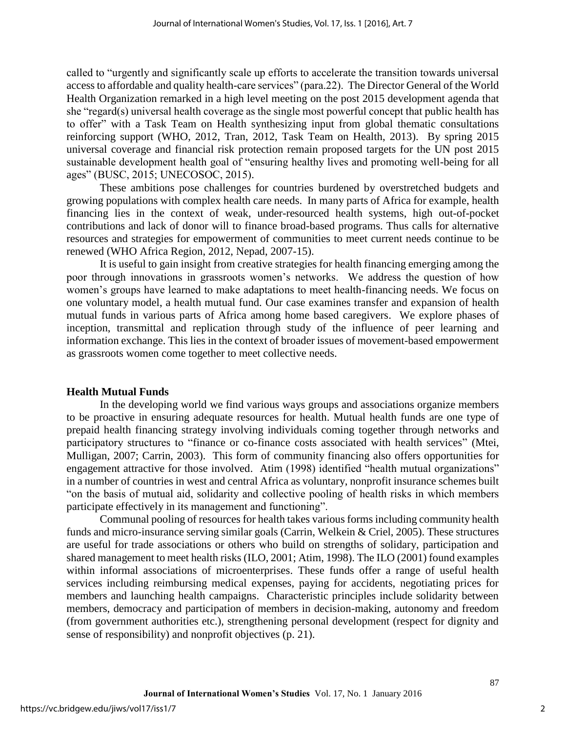called to "urgently and significantly scale up efforts to accelerate the transition towards universal access to affordable and quality health-care services" (para.22). The Director General of the World Health Organization remarked in a high level meeting on the post 2015 development agenda that she "regard(s) universal health coverage as the single most powerful concept that public health has to offer" with a Task Team on Health synthesizing input from global thematic consultations reinforcing support (WHO, 2012, Tran, 2012, Task Team on Health, 2013). By spring 2015 universal coverage and financial risk protection remain proposed targets for the UN post 2015 sustainable development health goal of "ensuring healthy lives and promoting well-being for all ages" (BUSC, 2015; UNECOSOC, 2015).

These ambitions pose challenges for countries burdened by overstretched budgets and growing populations with complex health care needs. In many parts of Africa for example, health financing lies in the context of weak, under-resourced health systems, high out-of-pocket contributions and lack of donor will to finance broad-based programs. Thus calls for alternative resources and strategies for empowerment of communities to meet current needs continue to be renewed (WHO Africa Region, 2012, Nepad, 2007-15).

It is useful to gain insight from creative strategies for health financing emerging among the poor through innovations in grassroots women's networks. We address the question of how women's groups have learned to make adaptations to meet health-financing needs. We focus on one voluntary model, a health mutual fund. Our case examines transfer and expansion of health mutual funds in various parts of Africa among home based caregivers. We explore phases of inception, transmittal and replication through study of the influence of peer learning and information exchange. This lies in the context of broader issues of movement-based empowerment as grassroots women come together to meet collective needs.

#### **Health Mutual Funds**

In the developing world we find various ways groups and associations organize members to be proactive in ensuring adequate resources for health. Mutual health funds are one type of prepaid health financing strategy involving individuals coming together through networks and participatory structures to "finance or co-finance costs associated with health services" (Mtei, Mulligan, 2007; Carrin, 2003). This form of community financing also offers opportunities for engagement attractive for those involved. Atim (1998) identified "health mutual organizations" in a number of countries in west and central Africa as voluntary, nonprofit insurance schemes built "on the basis of mutual aid, solidarity and collective pooling of health risks in which members participate effectively in its management and functioning".

Communal pooling of resources for health takes various forms including community health funds and micro-insurance serving similar goals (Carrin, Welkein & Criel, 2005). These structures are useful for trade associations or others who build on strengths of solidary, participation and shared management to meet health risks (ILO, 2001; Atim, 1998). The ILO (2001) found examples within informal associations of microenterprises. These funds offer a range of useful health services including reimbursing medical expenses, paying for accidents, negotiating prices for members and launching health campaigns. Characteristic principles include solidarity between members, democracy and participation of members in decision-making, autonomy and freedom (from government authorities etc.), strengthening personal development (respect for dignity and sense of responsibility) and nonprofit objectives (p. 21).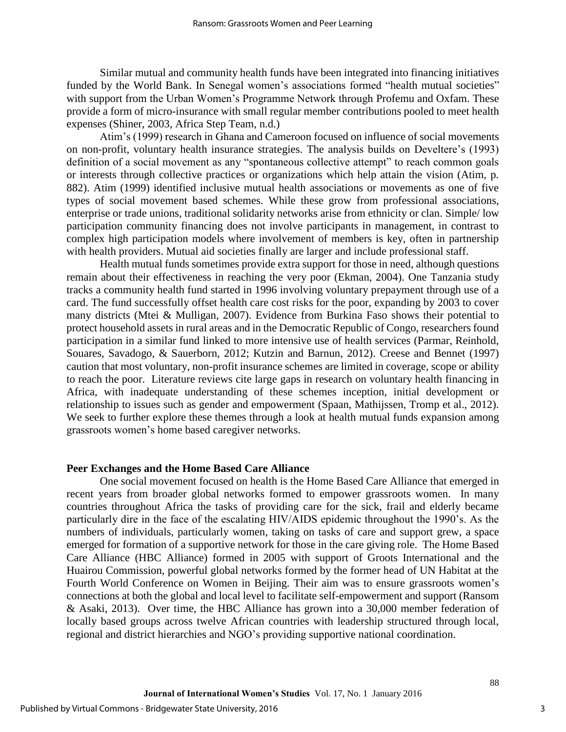Similar mutual and community health funds have been integrated into financing initiatives funded by the World Bank. In Senegal women's associations formed "health mutual societies" with support from the Urban Women's Programme Network through Profemu and Oxfam. These provide a form of micro-insurance with small regular member contributions pooled to meet health expenses (Shiner, 2003, Africa Step Team, n.d.)

Atim's (1999) research in Ghana and Cameroon focused on influence of social movements on non-profit, voluntary health insurance strategies. The analysis builds on Develtere's (1993) definition of a social movement as any "spontaneous collective attempt" to reach common goals or interests through collective practices or organizations which help attain the vision (Atim, p. 882). Atim (1999) identified inclusive mutual health associations or movements as one of five types of social movement based schemes. While these grow from professional associations, enterprise or trade unions, traditional solidarity networks arise from ethnicity or clan. Simple/ low participation community financing does not involve participants in management, in contrast to complex high participation models where involvement of members is key, often in partnership with health providers. Mutual aid societies finally are larger and include professional staff.

Health mutual funds sometimes provide extra support for those in need, although questions remain about their effectiveness in reaching the very poor (Ekman, 2004). One Tanzania study tracks a community health fund started in 1996 involving voluntary prepayment through use of a card. The fund successfully offset health care cost risks for the poor, expanding by 2003 to cover many districts (Mtei & Mulligan, 2007). Evidence from Burkina Faso shows their potential to protect household assets in rural areas and in the Democratic Republic of Congo, researchers found participation in a similar fund linked to more intensive use of health services (Parmar, Reinhold, Souares, Savadogo, & Sauerborn, 2012; Kutzin and Barnun, 2012). Creese and Bennet (1997) caution that most voluntary, non-profit insurance schemes are limited in coverage, scope or ability to reach the poor. Literature reviews cite large gaps in research on voluntary health financing in Africa, with inadequate understanding of these schemes inception, initial development or relationship to issues such as gender and empowerment (Spaan, Mathijssen, Tromp et al., 2012). We seek to further explore these themes through a look at health mutual funds expansion among grassroots women's home based caregiver networks.

#### **Peer Exchanges and the Home Based Care Alliance**

One social movement focused on health is the Home Based Care Alliance that emerged in recent years from broader global networks formed to empower grassroots women. In many countries throughout Africa the tasks of providing care for the sick, frail and elderly became particularly dire in the face of the escalating HIV/AIDS epidemic throughout the 1990's. As the numbers of individuals, particularly women, taking on tasks of care and support grew, a space emerged for formation of a supportive network for those in the care giving role. The Home Based Care Alliance (HBC Alliance) formed in 2005 with support of Groots International and the Huairou Commission, powerful global networks formed by the former head of UN Habitat at the Fourth World Conference on Women in Beijing. Their aim was to ensure grassroots women's connections at both the global and local level to facilitate self-empowerment and support (Ransom & Asaki, 2013). Over time, the HBC Alliance has grown into a 30,000 member federation of locally based groups across twelve African countries with leadership structured through local, regional and district hierarchies and NGO's providing supportive national coordination.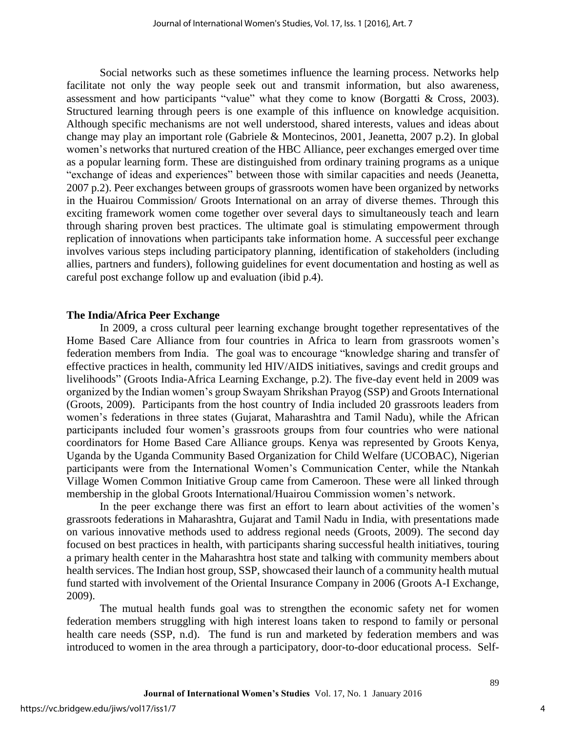Social networks such as these sometimes influence the learning process. Networks help facilitate not only the way people seek out and transmit information, but also awareness, assessment and how participants "value" what they come to know (Borgatti & Cross, 2003). Structured learning through peers is one example of this influence on knowledge acquisition. Although specific mechanisms are not well understood, shared interests, values and ideas about change may play an important role (Gabriele & Montecinos, 2001, Jeanetta, 2007 p.2). In global women's networks that nurtured creation of the HBC Alliance, peer exchanges emerged over time as a popular learning form. These are distinguished from ordinary training programs as a unique "exchange of ideas and experiences" between those with similar capacities and needs (Jeanetta, 2007 p.2). Peer exchanges between groups of grassroots women have been organized by networks in the Huairou Commission/ Groots International on an array of diverse themes. Through this exciting framework women come together over several days to simultaneously teach and learn through sharing proven best practices. The ultimate goal is stimulating empowerment through replication of innovations when participants take information home. A successful peer exchange involves various steps including participatory planning, identification of stakeholders (including allies, partners and funders), following guidelines for event documentation and hosting as well as careful post exchange follow up and evaluation (ibid p.4).

#### **The India/Africa Peer Exchange**

In 2009, a cross cultural peer learning exchange brought together representatives of the Home Based Care Alliance from four countries in Africa to learn from grassroots women's federation members from India. The goal was to encourage "knowledge sharing and transfer of effective practices in health, community led HIV/AIDS initiatives, savings and credit groups and livelihoods" (Groots India-Africa Learning Exchange, p.2). The five-day event held in 2009 was organized by the Indian women's group Swayam Shrikshan Prayog (SSP) and Groots International (Groots, 2009). Participants from the host country of India included 20 grassroots leaders from women's federations in three states (Gujarat, Maharashtra and Tamil Nadu), while the African participants included four women's grassroots groups from four countries who were national coordinators for Home Based Care Alliance groups. Kenya was represented by Groots Kenya, Uganda by the Uganda Community Based Organization for Child Welfare (UCOBAC), Nigerian participants were from the International Women's Communication Center, while the Ntankah Village Women Common Initiative Group came from Cameroon. These were all linked through membership in the global Groots International/Huairou Commission women's network.

In the peer exchange there was first an effort to learn about activities of the women's grassroots federations in Maharashtra, Gujarat and Tamil Nadu in India, with presentations made on various innovative methods used to address regional needs (Groots, 2009). The second day focused on best practices in health, with participants sharing successful health initiatives, touring a primary health center in the Maharashtra host state and talking with community members about health services. The Indian host group, SSP, showcased their launch of a community health mutual fund started with involvement of the Oriental Insurance Company in 2006 (Groots A-I Exchange, 2009).

The mutual health funds goal was to strengthen the economic safety net for women federation members struggling with high interest loans taken to respond to family or personal health care needs (SSP, n.d). The fund is run and marketed by federation members and was introduced to women in the area through a participatory, door-to-door educational process. Self-

4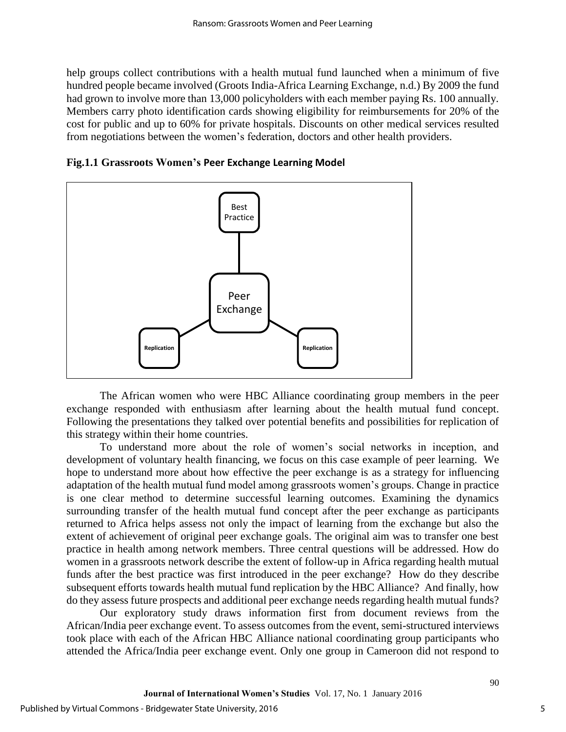help groups collect contributions with a health mutual fund launched when a minimum of five hundred people became involved (Groots India-Africa Learning Exchange, n.d.) By 2009 the fund had grown to involve more than 13,000 policyholders with each member paying Rs. 100 annually. Members carry photo identification cards showing eligibility for reimbursements for 20% of the cost for public and up to 60% for private hospitals. Discounts on other medical services resulted from negotiations between the women's federation, doctors and other health providers.





The African women who were HBC Alliance coordinating group members in the peer exchange responded with enthusiasm after learning about the health mutual fund concept. Following the presentations they talked over potential benefits and possibilities for replication of this strategy within their home countries.

To understand more about the role of women's social networks in inception, and development of voluntary health financing, we focus on this case example of peer learning. We hope to understand more about how effective the peer exchange is as a strategy for influencing adaptation of the health mutual fund model among grassroots women's groups. Change in practice is one clear method to determine successful learning outcomes. Examining the dynamics surrounding transfer of the health mutual fund concept after the peer exchange as participants returned to Africa helps assess not only the impact of learning from the exchange but also the extent of achievement of original peer exchange goals. The original aim was to transfer one best practice in health among network members. Three central questions will be addressed. How do women in a grassroots network describe the extent of follow-up in Africa regarding health mutual funds after the best practice was first introduced in the peer exchange? How do they describe subsequent efforts towards health mutual fund replication by the HBC Alliance? And finally, how do they assess future prospects and additional peer exchange needs regarding health mutual funds?

Our exploratory study draws information first from document reviews from the African/India peer exchange event. To assess outcomes from the event, semi-structured interviews took place with each of the African HBC Alliance national coordinating group participants who attended the Africa/India peer exchange event. Only one group in Cameroon did not respond to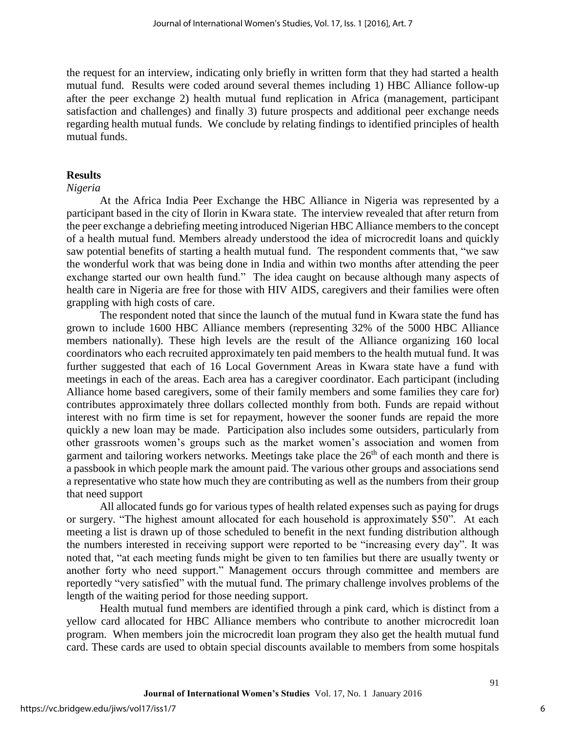the request for an interview, indicating only briefly in written form that they had started a health mutual fund. Results were coded around several themes including 1) HBC Alliance follow-up after the peer exchange 2) health mutual fund replication in Africa (management, participant satisfaction and challenges) and finally 3) future prospects and additional peer exchange needs regarding health mutual funds. We conclude by relating findings to identified principles of health mutual funds.

## **Results**

#### *Nigeria*

At the Africa India Peer Exchange the HBC Alliance in Nigeria was represented by a participant based in the city of Ilorin in Kwara state. The interview revealed that after return from the peer exchange a debriefing meeting introduced Nigerian HBC Alliance members to the concept of a health mutual fund. Members already understood the idea of microcredit loans and quickly saw potential benefits of starting a health mutual fund. The respondent comments that, "we saw the wonderful work that was being done in India and within two months after attending the peer exchange started our own health fund." The idea caught on because although many aspects of health care in Nigeria are free for those with HIV AIDS, caregivers and their families were often grappling with high costs of care.

The respondent noted that since the launch of the mutual fund in Kwara state the fund has grown to include 1600 HBC Alliance members (representing 32% of the 5000 HBC Alliance members nationally). These high levels are the result of the Alliance organizing 160 local coordinators who each recruited approximately ten paid members to the health mutual fund. It was further suggested that each of 16 Local Government Areas in Kwara state have a fund with meetings in each of the areas. Each area has a caregiver coordinator. Each participant (including Alliance home based caregivers, some of their family members and some families they care for) contributes approximately three dollars collected monthly from both. Funds are repaid without interest with no firm time is set for repayment, however the sooner funds are repaid the more quickly a new loan may be made. Participation also includes some outsiders, particularly from other grassroots women's groups such as the market women's association and women from garment and tailoring workers networks. Meetings take place the  $26<sup>th</sup>$  of each month and there is a passbook in which people mark the amount paid. The various other groups and associations send a representative who state how much they are contributing as well as the numbers from their group that need support

All allocated funds go for various types of health related expenses such as paying for drugs or surgery. "The highest amount allocated for each household is approximately \$50". At each meeting a list is drawn up of those scheduled to benefit in the next funding distribution although the numbers interested in receiving support were reported to be "increasing every day". It was noted that, "at each meeting funds might be given to ten families but there are usually twenty or another forty who need support." Management occurs through committee and members are reportedly "very satisfied" with the mutual fund. The primary challenge involves problems of the length of the waiting period for those needing support.

Health mutual fund members are identified through a pink card, which is distinct from a yellow card allocated for HBC Alliance members who contribute to another microcredit loan program. When members join the microcredit loan program they also get the health mutual fund card. These cards are used to obtain special discounts available to members from some hospitals

6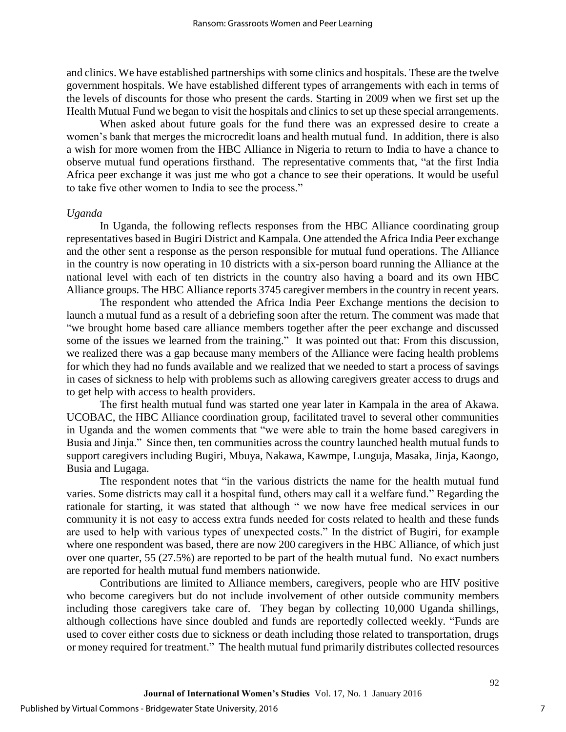and clinics. We have established partnerships with some clinics and hospitals. These are the twelve government hospitals. We have established different types of arrangements with each in terms of the levels of discounts for those who present the cards. Starting in 2009 when we first set up the Health Mutual Fund we began to visit the hospitals and clinics to set up these special arrangements.

When asked about future goals for the fund there was an expressed desire to create a women's bank that merges the microcredit loans and health mutual fund. In addition, there is also a wish for more women from the HBC Alliance in Nigeria to return to India to have a chance to observe mutual fund operations firsthand. The representative comments that, "at the first India Africa peer exchange it was just me who got a chance to see their operations. It would be useful to take five other women to India to see the process."

#### *Uganda*

In Uganda, the following reflects responses from the HBC Alliance coordinating group representatives based in Bugiri District and Kampala. One attended the Africa India Peer exchange and the other sent a response as the person responsible for mutual fund operations. The Alliance in the country is now operating in 10 districts with a six-person board running the Alliance at the national level with each of ten districts in the country also having a board and its own HBC Alliance groups. The HBC Alliance reports 3745 caregiver members in the country in recent years.

The respondent who attended the Africa India Peer Exchange mentions the decision to launch a mutual fund as a result of a debriefing soon after the return. The comment was made that "we brought home based care alliance members together after the peer exchange and discussed some of the issues we learned from the training." It was pointed out that: From this discussion, we realized there was a gap because many members of the Alliance were facing health problems for which they had no funds available and we realized that we needed to start a process of savings in cases of sickness to help with problems such as allowing caregivers greater access to drugs and to get help with access to health providers.

The first health mutual fund was started one year later in Kampala in the area of Akawa. UCOBAC, the HBC Alliance coordination group, facilitated travel to several other communities in Uganda and the women comments that "we were able to train the home based caregivers in Busia and Jinja." Since then, ten communities across the country launched health mutual funds to support caregivers including Bugiri, Mbuya, Nakawa, Kawmpe, Lunguja, Masaka, Jinja, Kaongo, Busia and Lugaga.

The respondent notes that "in the various districts the name for the health mutual fund varies. Some districts may call it a hospital fund, others may call it a welfare fund." Regarding the rationale for starting, it was stated that although " we now have free medical services in our community it is not easy to access extra funds needed for costs related to health and these funds are used to help with various types of unexpected costs." In the district of Bugiri, for example where one respondent was based, there are now 200 caregivers in the HBC Alliance, of which just over one quarter, 55 (27.5%) are reported to be part of the health mutual fund. No exact numbers are reported for health mutual fund members nationwide.

Contributions are limited to Alliance members, caregivers, people who are HIV positive who become caregivers but do not include involvement of other outside community members including those caregivers take care of. They began by collecting 10,000 Uganda shillings, although collections have since doubled and funds are reportedly collected weekly. "Funds are used to cover either costs due to sickness or death including those related to transportation, drugs or money required for treatment." The health mutual fund primarily distributes collected resources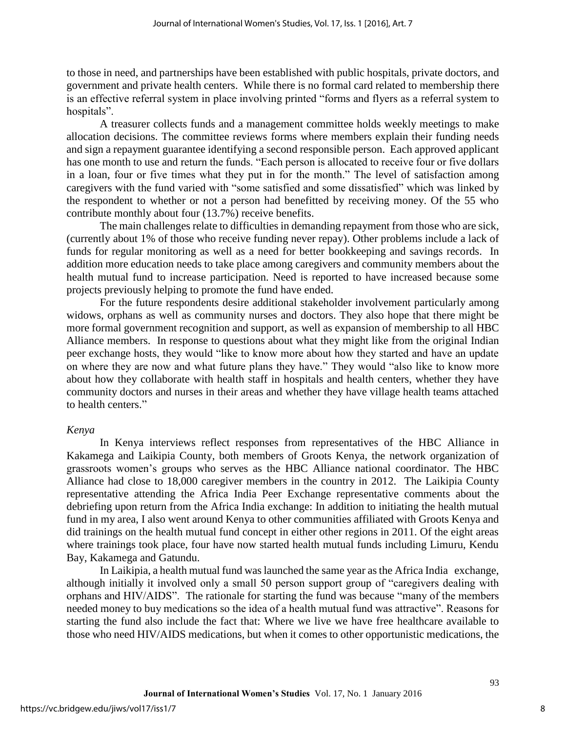to those in need, and partnerships have been established with public hospitals, private doctors, and government and private health centers. While there is no formal card related to membership there is an effective referral system in place involving printed "forms and flyers as a referral system to hospitals".

A treasurer collects funds and a management committee holds weekly meetings to make allocation decisions. The committee reviews forms where members explain their funding needs and sign a repayment guarantee identifying a second responsible person. Each approved applicant has one month to use and return the funds. "Each person is allocated to receive four or five dollars in a loan, four or five times what they put in for the month." The level of satisfaction among caregivers with the fund varied with "some satisfied and some dissatisfied" which was linked by the respondent to whether or not a person had benefitted by receiving money. Of the 55 who contribute monthly about four (13.7%) receive benefits.

The main challenges relate to difficulties in demanding repayment from those who are sick, (currently about 1% of those who receive funding never repay). Other problems include a lack of funds for regular monitoring as well as a need for better bookkeeping and savings records. In addition more education needs to take place among caregivers and community members about the health mutual fund to increase participation. Need is reported to have increased because some projects previously helping to promote the fund have ended.

For the future respondents desire additional stakeholder involvement particularly among widows, orphans as well as community nurses and doctors. They also hope that there might be more formal government recognition and support, as well as expansion of membership to all HBC Alliance members. In response to questions about what they might like from the original Indian peer exchange hosts, they would "like to know more about how they started and have an update on where they are now and what future plans they have." They would "also like to know more about how they collaborate with health staff in hospitals and health centers, whether they have community doctors and nurses in their areas and whether they have village health teams attached to health centers."

#### *Kenya*

In Kenya interviews reflect responses from representatives of the HBC Alliance in Kakamega and Laikipia County, both members of Groots Kenya, the network organization of grassroots women's groups who serves as the HBC Alliance national coordinator. The HBC Alliance had close to 18,000 caregiver members in the country in 2012. The Laikipia County representative attending the Africa India Peer Exchange representative comments about the debriefing upon return from the Africa India exchange: In addition to initiating the health mutual fund in my area, I also went around Kenya to other communities affiliated with Groots Kenya and did trainings on the health mutual fund concept in either other regions in 2011. Of the eight areas where trainings took place, four have now started health mutual funds including Limuru, Kendu Bay, Kakamega and Gatundu.

In Laikipia, a health mutual fund was launched the same year as the Africa India exchange, although initially it involved only a small 50 person support group of "caregivers dealing with orphans and HIV/AIDS". The rationale for starting the fund was because "many of the members needed money to buy medications so the idea of a health mutual fund was attractive". Reasons for starting the fund also include the fact that: Where we live we have free healthcare available to those who need HIV/AIDS medications, but when it comes to other opportunistic medications, the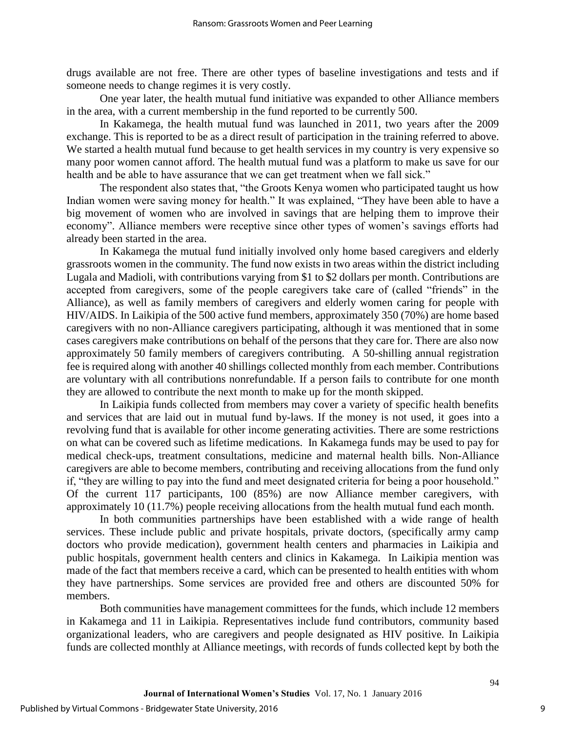drugs available are not free. There are other types of baseline investigations and tests and if someone needs to change regimes it is very costly.

One year later, the health mutual fund initiative was expanded to other Alliance members in the area, with a current membership in the fund reported to be currently 500.

In Kakamega, the health mutual fund was launched in 2011, two years after the 2009 exchange. This is reported to be as a direct result of participation in the training referred to above. We started a health mutual fund because to get health services in my country is very expensive so many poor women cannot afford. The health mutual fund was a platform to make us save for our health and be able to have assurance that we can get treatment when we fall sick."

The respondent also states that, "the Groots Kenya women who participated taught us how Indian women were saving money for health." It was explained, "They have been able to have a big movement of women who are involved in savings that are helping them to improve their economy". Alliance members were receptive since other types of women's savings efforts had already been started in the area.

In Kakamega the mutual fund initially involved only home based caregivers and elderly grassroots women in the community. The fund now exists in two areas within the district including Lugala and Madioli, with contributions varying from \$1 to \$2 dollars per month. Contributions are accepted from caregivers, some of the people caregivers take care of (called "friends" in the Alliance), as well as family members of caregivers and elderly women caring for people with HIV/AIDS. In Laikipia of the 500 active fund members, approximately 350 (70%) are home based caregivers with no non-Alliance caregivers participating, although it was mentioned that in some cases caregivers make contributions on behalf of the persons that they care for. There are also now approximately 50 family members of caregivers contributing. A 50-shilling annual registration fee is required along with another 40 shillings collected monthly from each member. Contributions are voluntary with all contributions nonrefundable. If a person fails to contribute for one month they are allowed to contribute the next month to make up for the month skipped.

In Laikipia funds collected from members may cover a variety of specific health benefits and services that are laid out in mutual fund by-laws. If the money is not used, it goes into a revolving fund that is available for other income generating activities. There are some restrictions on what can be covered such as lifetime medications. In Kakamega funds may be used to pay for medical check-ups, treatment consultations, medicine and maternal health bills. Non-Alliance caregivers are able to become members, contributing and receiving allocations from the fund only if, "they are willing to pay into the fund and meet designated criteria for being a poor household." Of the current 117 participants, 100 (85%) are now Alliance member caregivers, with approximately 10 (11.7%) people receiving allocations from the health mutual fund each month.

In both communities partnerships have been established with a wide range of health services. These include public and private hospitals, private doctors, (specifically army camp doctors who provide medication), government health centers and pharmacies in Laikipia and public hospitals, government health centers and clinics in Kakamega. In Laikipia mention was made of the fact that members receive a card, which can be presented to health entities with whom they have partnerships. Some services are provided free and others are discounted 50% for members.

Both communities have management committees for the funds, which include 12 members in Kakamega and 11 in Laikipia. Representatives include fund contributors, community based organizational leaders, who are caregivers and people designated as HIV positive*.* In Laikipia funds are collected monthly at Alliance meetings, with records of funds collected kept by both the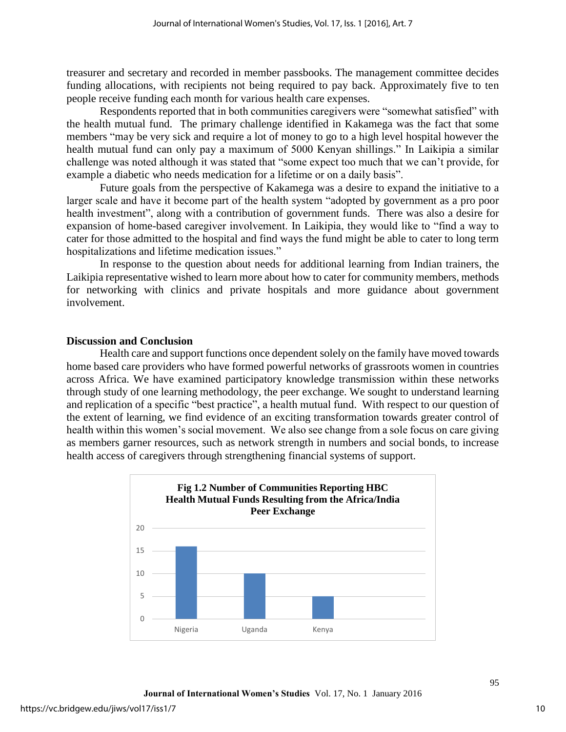treasurer and secretary and recorded in member passbooks. The management committee decides funding allocations, with recipients not being required to pay back. Approximately five to ten people receive funding each month for various health care expenses.

Respondents reported that in both communities caregivers were "somewhat satisfied" with the health mutual fund. The primary challenge identified in Kakamega was the fact that some members "may be very sick and require a lot of money to go to a high level hospital however the health mutual fund can only pay a maximum of 5000 Kenyan shillings." In Laikipia a similar challenge was noted although it was stated that "some expect too much that we can't provide, for example a diabetic who needs medication for a lifetime or on a daily basis".

Future goals from the perspective of Kakamega was a desire to expand the initiative to a larger scale and have it become part of the health system "adopted by government as a pro poor health investment", along with a contribution of government funds. There was also a desire for expansion of home-based caregiver involvement. In Laikipia, they would like to "find a way to cater for those admitted to the hospital and find ways the fund might be able to cater to long term hospitalizations and lifetime medication issues."

In response to the question about needs for additional learning from Indian trainers, the Laikipia representative wished to learn more about how to cater for community members, methods for networking with clinics and private hospitals and more guidance about government involvement.

## **Discussion and Conclusion**

Health care and support functions once dependent solely on the family have moved towards home based care providers who have formed powerful networks of grassroots women in countries across Africa. We have examined participatory knowledge transmission within these networks through study of one learning methodology, the peer exchange. We sought to understand learning and replication of a specific "best practice", a health mutual fund. With respect to our question of the extent of learning, we find evidence of an exciting transformation towards greater control of health within this women's social movement. We also see change from a sole focus on care giving as members garner resources, such as network strength in numbers and social bonds, to increase health access of caregivers through strengthening financial systems of support.

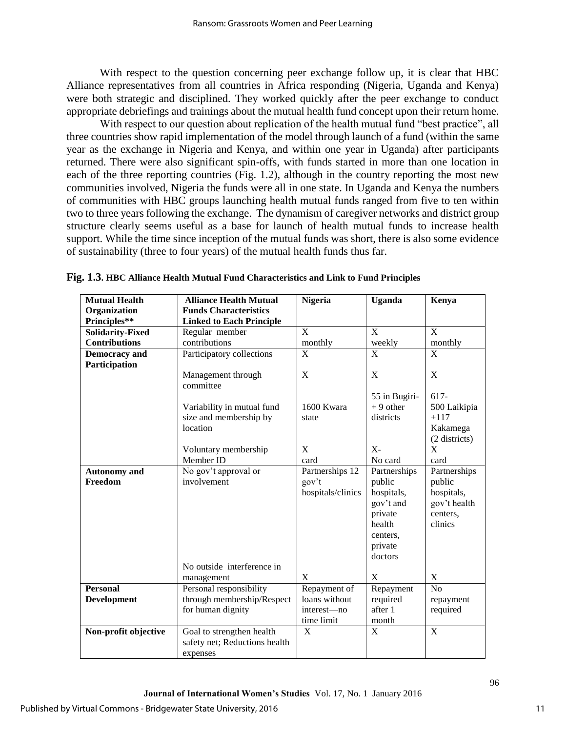With respect to the question concerning peer exchange follow up, it is clear that HBC Alliance representatives from all countries in Africa responding (Nigeria, Uganda and Kenya) were both strategic and disciplined. They worked quickly after the peer exchange to conduct appropriate debriefings and trainings about the mutual health fund concept upon their return home.

With respect to our question about replication of the health mutual fund "best practice", all three countries show rapid implementation of the model through launch of a fund (within the same year as the exchange in Nigeria and Kenya, and within one year in Uganda) after participants returned. There were also significant spin-offs, with funds started in more than one location in each of the three reporting countries (Fig. 1.2), although in the country reporting the most new communities involved, Nigeria the funds were all in one state. In Uganda and Kenya the numbers of communities with HBC groups launching health mutual funds ranged from five to ten within two to three years following the exchange. The dynamism of caregiver networks and district group structure clearly seems useful as a base for launch of health mutual funds to increase health support. While the time since inception of the mutual funds was short, there is also some evidence of sustainability (three to four years) of the mutual health funds thus far.

| <b>Mutual Health</b>    | <b>Alliance Health Mutual</b>   | <b>Nigeria</b>    | <b>Uganda</b> | Kenya         |
|-------------------------|---------------------------------|-------------------|---------------|---------------|
| Organization            | <b>Funds Characteristics</b>    |                   |               |               |
| Principles**            | <b>Linked to Each Principle</b> |                   |               |               |
| <b>Solidarity-Fixed</b> | Regular member                  | $\mathbf{X}$      | X             | $\bf{X}$      |
| <b>Contributions</b>    | contributions                   | monthly           | weekly        | monthly       |
| <b>Democracy</b> and    | Participatory collections       | X                 | X             | X             |
| Participation           |                                 |                   |               |               |
|                         | Management through              | $\mathbf X$       | X             | X             |
|                         | committee                       |                   |               |               |
|                         |                                 |                   | 55 in Bugiri- | 617-          |
|                         | Variability in mutual fund      | 1600 Kwara        | $+9$ other    | 500 Laikipia  |
|                         | size and membership by          | state             | districts     | $+117$        |
|                         | location                        |                   |               | Kakamega      |
|                         |                                 |                   |               | (2 districts) |
|                         | Voluntary membership            | X                 | $X -$         | X             |
|                         | Member ID                       | card              | No card       | card          |
| <b>Autonomy</b> and     | No gov't approval or            | Partnerships 12   | Partnerships  | Partnerships  |
| Freedom                 | involvement                     | gov't             | public        | public        |
|                         |                                 | hospitals/clinics | hospitals,    | hospitals,    |
|                         |                                 |                   | gov't and     | gov't health  |
|                         |                                 |                   | private       | centers,      |
|                         |                                 |                   | health        | clinics       |
|                         |                                 |                   | centers,      |               |
|                         |                                 |                   | private       |               |
|                         |                                 |                   | doctors       |               |
|                         | No outside interference in      |                   |               |               |
|                         | management                      | X                 | X             | X             |
| <b>Personal</b>         | Personal responsibility         | Repayment of      | Repayment     | No            |
| <b>Development</b>      | through membership/Respect      | loans without     | required      | repayment     |
|                         | for human dignity               | interest-no       | after 1       | required      |
|                         |                                 | time limit        | month         |               |
| Non-profit objective    | Goal to strengthen health       | X                 | X             | X             |
|                         | safety net; Reductions health   |                   |               |               |
|                         | expenses                        |                   |               |               |

**Fig. 1.3. HBC Alliance Health Mutual Fund Characteristics and Link to Fund Principles**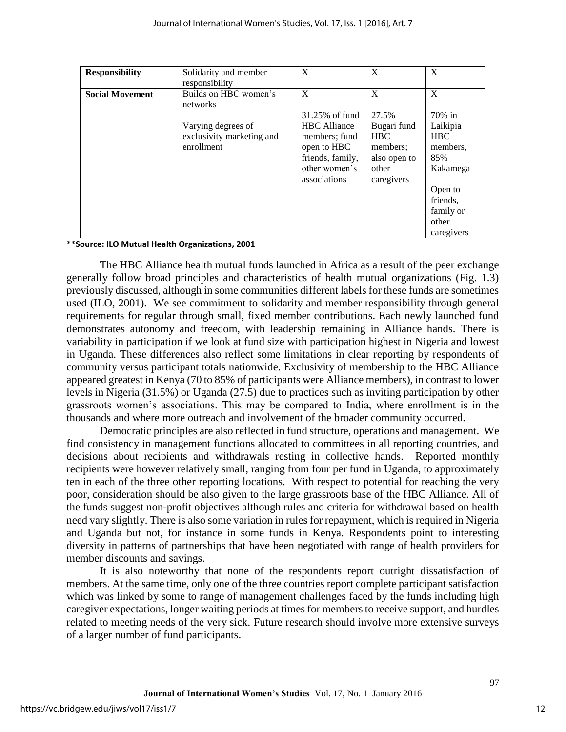| <b>Responsibility</b>  | Solidarity and member<br>responsibility                       | X                                                                                                        | X                                                                            | X                                                       |
|------------------------|---------------------------------------------------------------|----------------------------------------------------------------------------------------------------------|------------------------------------------------------------------------------|---------------------------------------------------------|
| <b>Social Movement</b> | Builds on HBC women's<br>networks                             | X<br>31.25% of fund                                                                                      | X<br>27.5%                                                                   | X<br>70% in                                             |
|                        | Varying degrees of<br>exclusivity marketing and<br>enrollment | <b>HBC</b> Alliance<br>members; fund<br>open to HBC<br>friends, family,<br>other women's<br>associations | Bugari fund<br><b>HBC</b><br>members;<br>also open to<br>other<br>caregivers | Laikipia<br><b>HBC</b><br>members,<br>85%<br>Kakamega   |
|                        |                                                               |                                                                                                          |                                                                              | Open to<br>friends,<br>family or<br>other<br>caregivers |

\*\***Source: ILO Mutual Health Organizations, 2001**

The HBC Alliance health mutual funds launched in Africa as a result of the peer exchange generally follow broad principles and characteristics of health mutual organizations (Fig. 1.3) previously discussed, although in some communities different labels for these funds are sometimes used (ILO, 2001). We see commitment to solidarity and member responsibility through general requirements for regular through small, fixed member contributions. Each newly launched fund demonstrates autonomy and freedom, with leadership remaining in Alliance hands. There is variability in participation if we look at fund size with participation highest in Nigeria and lowest in Uganda. These differences also reflect some limitations in clear reporting by respondents of community versus participant totals nationwide. Exclusivity of membership to the HBC Alliance appeared greatest in Kenya (70 to 85% of participants were Alliance members), in contrast to lower levels in Nigeria (31.5%) or Uganda (27.5) due to practices such as inviting participation by other grassroots women's associations. This may be compared to India, where enrollment is in the thousands and where more outreach and involvement of the broader community occurred.

Democratic principles are also reflected in fund structure, operations and management. We find consistency in management functions allocated to committees in all reporting countries, and decisions about recipients and withdrawals resting in collective hands. Reported monthly recipients were however relatively small, ranging from four per fund in Uganda, to approximately ten in each of the three other reporting locations. With respect to potential for reaching the very poor, consideration should be also given to the large grassroots base of the HBC Alliance. All of the funds suggest non-profit objectives although rules and criteria for withdrawal based on health need vary slightly. There is also some variation in rules for repayment, which is required in Nigeria and Uganda but not, for instance in some funds in Kenya. Respondents point to interesting diversity in patterns of partnerships that have been negotiated with range of health providers for member discounts and savings.

It is also noteworthy that none of the respondents report outright dissatisfaction of members. At the same time, only one of the three countries report complete participant satisfaction which was linked by some to range of management challenges faced by the funds including high caregiver expectations, longer waiting periods at times for members to receive support, and hurdles related to meeting needs of the very sick. Future research should involve more extensive surveys of a larger number of fund participants.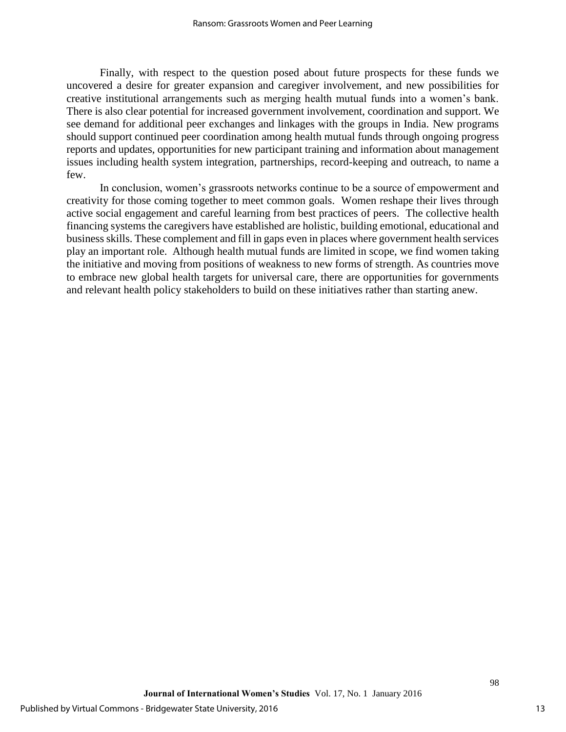Finally, with respect to the question posed about future prospects for these funds we uncovered a desire for greater expansion and caregiver involvement, and new possibilities for creative institutional arrangements such as merging health mutual funds into a women's bank. There is also clear potential for increased government involvement, coordination and support. We see demand for additional peer exchanges and linkages with the groups in India. New programs should support continued peer coordination among health mutual funds through ongoing progress reports and updates, opportunities for new participant training and information about management issues including health system integration, partnerships, record-keeping and outreach, to name a few.

In conclusion, women's grassroots networks continue to be a source of empowerment and creativity for those coming together to meet common goals. Women reshape their lives through active social engagement and careful learning from best practices of peers. The collective health financing systems the caregivers have established are holistic, building emotional, educational and business skills. These complement and fill in gaps even in places where government health services play an important role. Although health mutual funds are limited in scope, we find women taking the initiative and moving from positions of weakness to new forms of strength. As countries move to embrace new global health targets for universal care, there are opportunities for governments and relevant health policy stakeholders to build on these initiatives rather than starting anew.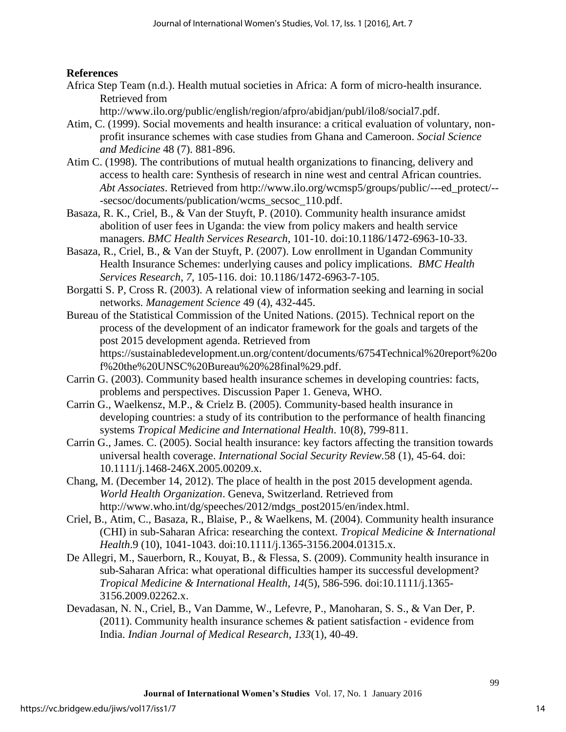## **References**

Africa Step Team (n.d.). Health mutual societies in Africa: A form of micro-health insurance. Retrieved from

http://www.ilo.org/public/english/region/afpro/abidjan/publ/ilo8/social7.pdf.

- Atim, C. (1999). Social movements and health insurance: a critical evaluation of voluntary, nonprofit insurance schemes with case studies from Ghana and Cameroon. *Social Science and Medicine* 48 (7). 881-896.
- Atim C. (1998). The contributions of mutual health organizations to financing, delivery and access to health care: Synthesis of research in nine west and central African countries. *Abt Associates*. Retrieved from http://www.ilo.org/wcmsp5/groups/public/---ed\_protect/-- -secsoc/documents/publication/wcms\_secsoc\_110.pdf.
- Basaza, R. K., Criel, B., & Van der Stuyft, P. (2010). Community health insurance amidst abolition of user fees in Uganda: the view from policy makers and health service managers. *BMC Health Services Research*, 101-10. doi:10.1186/1472-6963-10-33.
- Basaza, R., Criel, B., & Van der Stuyft, P. (2007). Low enrollment in Ugandan Community Health Insurance Schemes: underlying causes and policy implications. *BMC Health Services Research*, *7,* 105-116. doi: 10.1186/1472-6963-7-105.
- Borgatti S. P, Cross R. (2003). A relational view of information seeking and learning in social networks. *Management Science* 49 (4), 432-445.
- Bureau of the Statistical Commission of the United Nations. (2015). Technical report on the process of the development of an indicator framework for the goals and targets of the post 2015 development agenda. Retrieved from [https://sustainabledevelopment.un.org/content/documents/6754Technical%20report%20o](https://sustainabledevelopment.un.org/content/documents/6754Technical%20report%20of%20the%20UNSC%20Bureau%20%28final%29.pdf) [f%20the%20UNSC%20Bureau%20%28final%29.pdf.](https://sustainabledevelopment.un.org/content/documents/6754Technical%20report%20of%20the%20UNSC%20Bureau%20%28final%29.pdf)
- Carrin G. (2003). Community based health insurance schemes in developing countries: facts, problems and perspectives. Discussion Paper 1. Geneva, WHO.
- Carrin G., Waelkensz, M.P., & Crielz B. (2005). Community-based health insurance in developing countries: a study of its contribution to the performance of health financing systems *Tropical Medicine and International Health*. 10(8), 799-811.
- Carrin G., James. C. (2005). Social health insurance: key factors affecting the transition towards universal health coverage. *International Social Security Review.*58 (1), 45-64. doi: 10.1111/j.1468-246X.2005.00209.x.
- Chang, M. (December 14, 2012). The place of health in the post 2015 development agenda. *World Health Organization*. Geneva, Switzerland. Retrieved from [http://www.who.int/dg/speeches/2012/mdgs\\_post2015/en/index.html.](http://www.who.int/dg/speeches/2012/mdgs_post2015/en/index.html)
- Criel, B., Atim, C., Basaza, R., Blaise, P., & Waelkens, M. (2004). Community health insurance (CHI) in sub-Saharan Africa: researching the context. *Tropical Medicine & International Health*.9 (10), 1041-1043. doi:10.1111/j.1365-3156.2004.01315.x.
- De Allegri, M., Sauerborn, R., Kouyat, B., & Flessa, S. (2009). Community health insurance in sub-Saharan Africa: what operational difficulties hamper its successful development? *Tropical Medicine & International Health*, *14*(5), 586-596. doi:10.1111/j.1365- 3156.2009.02262.x.
- Devadasan, N. N., Criel, B., Van Damme, W., Lefevre, P., Manoharan, S. S., & Van Der, P. (2011). Community health insurance schemes & patient satisfaction - evidence from India. *Indian Journal of Medical Research*, *133*(1), 40-49.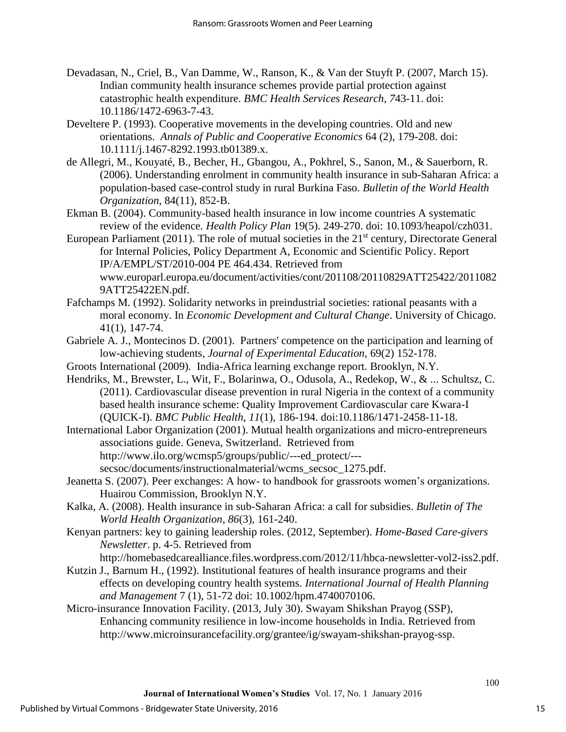- Devadasan, N., Criel, B., Van Damme, W., Ranson, K., & Van der Stuyft P. (2007, March 15). Indian community health insurance schemes provide partial protection against catastrophic health expenditure. *BMC Health Services Research*, *7*43-11. doi: 10.1186/1472-6963-7-43.
- Develtere P. (1993). Cooperative movements in the developing countries. Old and new orientations. *Annals of Public and Cooperative Economics* 64 (2), 179-208. doi: 10.1111/j.1467-8292.1993.tb01389.x.
- de Allegri, M., Kouyaté, B., Becher, H., Gbangou, A., Pokhrel, S., Sanon, M., & Sauerborn, R. (2006). Understanding enrolment in community health insurance in sub-Saharan Africa: a population-based case-control study in rural Burkina Faso. *Bulletin of the World Health Organization*, 84(11), 852-B.
- Ekman B. (2004). Community-based health insurance in low income countries A systematic review of the evidence*. Health Policy Plan* 19(5). 249-270. doi: 10.1093/heapol/czh031.
- European Parliament (2011). The role of mutual societies in the 21<sup>st</sup> century, Directorate General for Internal Policies, Policy Department A, Economic and Scientific Policy. Report IP/A/EMPL/ST/2010-004 PE 464.434. Retrieved from [www.europarl.europa.eu/document/activities/cont/201108/20110829ATT25422/2011082](http://www.europarl.europa.eu/document/activities/cont/201108/20110829ATT25422/20110829ATT25422EN.pdf) [9ATT25422EN.pdf.](http://www.europarl.europa.eu/document/activities/cont/201108/20110829ATT25422/20110829ATT25422EN.pdf)
- Fafchamps M. (1992). Solidarity networks in preindustrial societies: rational peasants with a moral economy. In *Economic Development and Cultural Change*. University of Chicago. 41(1), 147-74.
- Gabriele A. J., Montecinos D. (2001). Partners' competence on the participation and learning of low-achieving students, *Journal of Experimental Education*, 69(2) 152-178.
- Groots International (2009). India-Africa learning exchange report. Brooklyn, N.Y.
- Hendriks, M., Brewster, L., Wit, F., Bolarinwa, O., Odusola, A., Redekop, W., & ... Schultsz, C. (2011). Cardiovascular disease prevention in rural Nigeria in the context of a community based health insurance scheme: Quality Improvement Cardiovascular care Kwara-I (QUICK-I). *BMC Public Health*, *11*(1), 186-194. doi:10.1186/1471-2458-11-18.
- International Labor Organization (2001). Mutual health organizations and micro-entrepreneurs associations guide. Geneva, Switzerland. Retrieved from http://www.ilo.org/wcmsp5/groups/public/---ed\_protect/-- secsoc/documents/instructionalmaterial/wcms\_secsoc\_1275.pdf.
- Jeanetta S. (2007). Peer exchanges: A how- to handbook for grassroots women's organizations. Huairou Commission, Brooklyn N.Y.
- Kalka, A. (2008). Health insurance in sub-Saharan Africa: a call for subsidies. *Bulletin of The World Health Organization*, *86*(3), 161-240.
- Kenyan partners: key to gaining leadership roles. (2012, September). *Home-Based Care-givers Newsletter*. p. 4-5. Retrieved from
	- http://homebasedcarealliance.files.wordpress.com/2012/11/hbca-newsletter-vol2-iss2.pdf.
- Kutzin J., Barnum H., (1992). Institutional features of health insurance programs and their effects on developing country health systems. *International Journal of Health Planning and Management* 7 (1), 51-72 doi: 10.1002/hpm.4740070106.
- Micro-insurance Innovation Facility. (2013, July 30). Swayam Shikshan Prayog (SSP), Enhancing community resilience in low-income households in India. Retrieved from [http://www.microinsurancefacility.org/grantee/ig/swayam-shikshan-prayog-ssp.](http://www.microinsurancefacility.org/grantee/ig/swayam-shikshan-prayog-ssp)